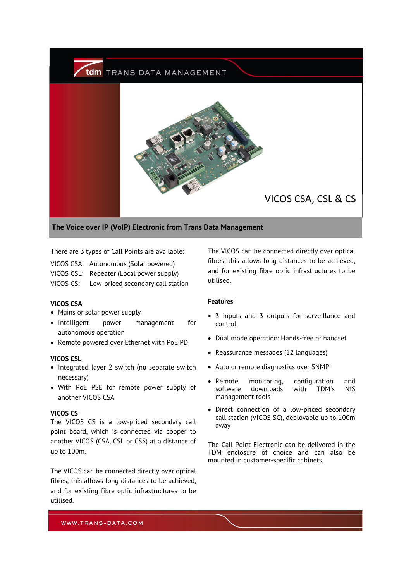

There are 3 types of Call Points are available:

- VICOS CSA: Autonomous (Solar powered)
- VICOS CSL: Repeater (Local power supply)
- VICOS CS: Low-priced secondary call station

#### **VICOS CSA**

- Mains or solar power supply
- Intelligent power management for autonomous operation
- Remote powered over Ethernet with PoE PD

## **VICOS CSL**

- Integrated layer 2 switch (no separate switch necessary)
- With PoE PSE for remote power supply of another VICOS CSA

### **VICOS CS**

The VICOS CS is a low-priced secondary call point board, which is connected via copper to another VICOS (CSA, CSL or CSS) at a distance of up to 100m.

The VICOS can be connected directly over optical fibres; this allows long distances to be achieved, and for existing fibre optic infrastructures to be utilised.

The VICOS can be connected directly over optical fibres; this allows long distances to be achieved, and for existing fibre optic infrastructures to be utilised.

### **Features**

- 3 inputs and 3 outputs for surveillance and control
- Dual mode operation: Hands-free or handset
- Reassurance messages (12 languages)
- Auto or remote diagnostics over SNMP
- Remote monitoring, configuration and software downloads with TDM's NIS management tools
- Direct connection of a low-priced secondary call station (VICOS SC), deployable up to 100m away

The Call Point Electronic can be delivered in the TDM enclosure of choice and can also be mounted in customer-specific cabinets.